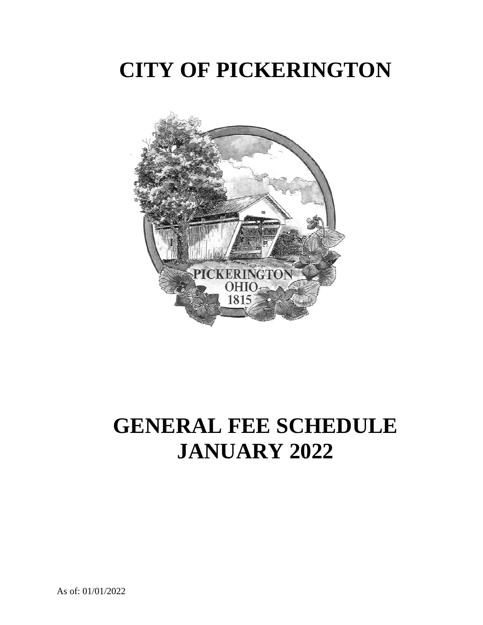# **CITY OF PICKERINGTON**



# **GENERAL FEE SCHEDULE JANUARY 2022**

As of: 01/01/2022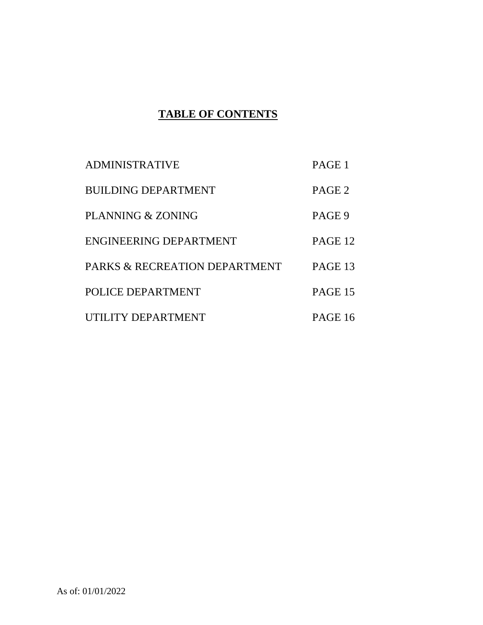# **TABLE OF CONTENTS**

| <b>ADMINISTRATIVE</b>         | PAGE 1            |
|-------------------------------|-------------------|
| <b>BUILDING DEPARTMENT</b>    | PAGE <sub>2</sub> |
| PLANNING & ZONING             | PAGE 9            |
| <b>ENGINEERING DEPARTMENT</b> | PAGE 12           |
| PARKS & RECREATION DEPARTMENT | PAGE 13           |
| POLICE DEPARTMENT             | PAGE 15           |
| UTILITY DEPARTMENT            | PAGE 16           |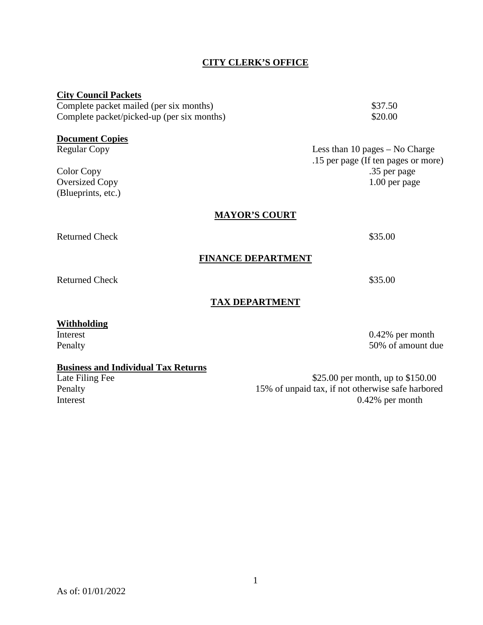## **CITY CLERK'S OFFICE**

| <b>City Council Packets</b>                   |                                     |
|-----------------------------------------------|-------------------------------------|
| Complete packet mailed (per six months)       | \$37.50                             |
| Complete packet/picked-up (per six months)    | \$20.00                             |
|                                               |                                     |
| <b>Document Copies</b><br><b>Regular Copy</b> | Less than 10 pages $-$ No Charge    |
|                                               | .15 per page (If ten pages or more) |
| Color Copy                                    | .35 per page                        |
| <b>Oversized Copy</b>                         | $1.00$ per page                     |
| (Blueprints, etc.)                            |                                     |
|                                               |                                     |
| <b>MAYOR'S COURT</b>                          |                                     |
| <b>Returned Check</b>                         | \$35.00                             |
| <b>FINANCE DEPARTMENT</b>                     |                                     |
|                                               |                                     |
| <b>Returned Check</b>                         | \$35.00                             |
| <b>TAX DEPARTMENT</b>                         |                                     |
|                                               |                                     |
| <b>Withholding</b>                            |                                     |
| Interest                                      | $0.42\%$ per month                  |

Penalty 50% of amount due

# **Business and Individual Tax Returns**

Late Filing Fee \$25.00 per month, up to \$150.00 Penalty 15% of unpaid tax, if not otherwise safe harbored Interest 0.42% per month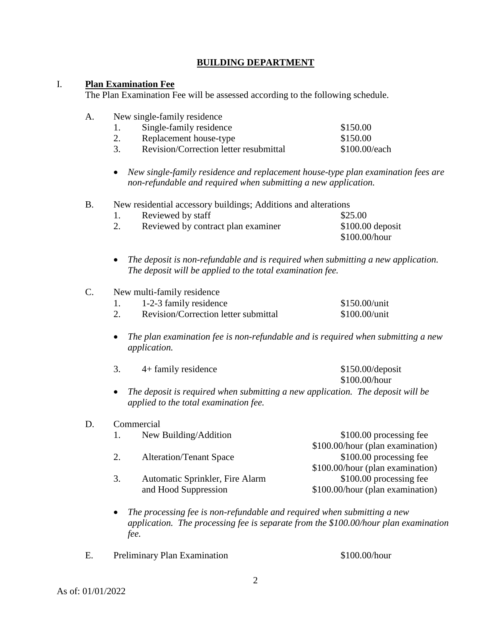## **BUILDING DEPARTMENT**

### I. **Plan Examination Fee**

The Plan Examination Fee will be assessed according to the following schedule.

| A. | New single-family residence                                                     |                                                                                     |
|----|---------------------------------------------------------------------------------|-------------------------------------------------------------------------------------|
|    | Single-family residence<br>1.                                                   | \$150.00                                                                            |
|    | 2.<br>Replacement house-type                                                    | \$150.00                                                                            |
|    | 3.<br>Revision/Correction letter resubmittal                                    | \$100.00/each                                                                       |
|    | non-refundable and required when submitting a new application.                  | New single-family residence and replacement house-type plan examination fees are    |
| B. | New residential accessory buildings; Additions and alterations                  |                                                                                     |
|    | Reviewed by staff<br>1.                                                         | \$25.00                                                                             |
|    | 2.<br>Reviewed by contract plan examiner                                        | \$100.00 deposit<br>\$100.00/hour                                                   |
|    | ٠<br>The deposit will be applied to the total examination fee.                  | The deposit is non-refundable and is required when submitting a new application.    |
| C. | New multi-family residence                                                      |                                                                                     |
|    | 1-2-3 family residence<br>1.                                                    | \$150.00/unit                                                                       |
|    | Revision/Correction letter submittal<br>2.                                      | \$100.00/unit                                                                       |
|    | ٠<br>application.                                                               | The plan examination fee is non-refundable and is required when submitting a new    |
|    | 3.<br>4+ family residence                                                       | $$150.00$ /deposit<br>\$100.00/hour                                                 |
|    | $\bullet$<br>applied to the total examination fee.                              | The deposit is required when submitting a new application. The deposit will be      |
| D. | Commercial                                                                      |                                                                                     |
|    | New Building/Addition<br>1.                                                     | \$100.00 processing fee                                                             |
|    | 2.<br><b>Alteration/Tenant Space</b>                                            | \$100.00/hour (plan examination)<br>\$100.00 processing fee                         |
|    |                                                                                 | \$100.00/hour (plan examination)                                                    |
|    | 3.<br>Automatic Sprinkler, Fire Alarm                                           | \$100.00 processing fee                                                             |
|    | and Hood Suppression                                                            | \$100.00/hour (plan examination)                                                    |
|    | The processing fee is non-refundable and required when submitting a new<br>fee. | application. The processing fee is separate from the \$100.00/hour plan examination |

E. Preliminary Plan Examination \$100.00/hour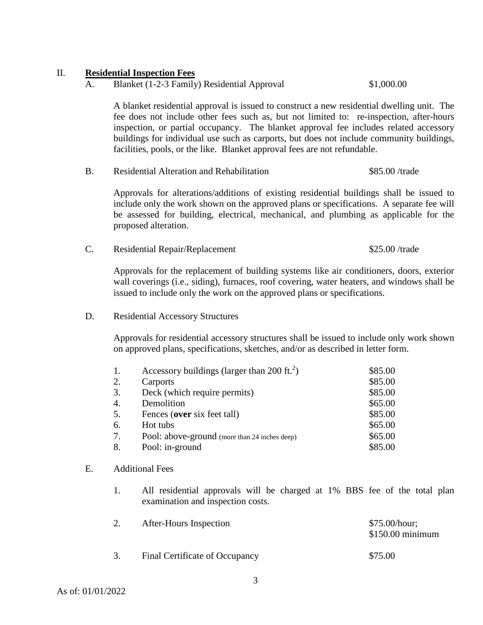#### II. **Residential Inspection Fees**

A. Blanket (1-2-3 Family) Residential Approval \$1,000.00

A blanket residential approval is issued to construct a new residential dwelling unit. The fee does not include other fees such as, but not limited to: re-inspection, after-hours inspection, or partial occupancy. The blanket approval fee includes related accessory buildings for individual use such as carports, but does not include community buildings, facilities, pools, or the like. Blanket approval fees are not refundable.

B. Residential Alteration and Rehabilitation \$85.00 /trade

Approvals for alterations/additions of existing residential buildings shall be issued to include only the work shown on the approved plans or specifications. A separate fee will be assessed for building, electrical, mechanical, and plumbing as applicable for the proposed alteration.

C. Residential Repair/Replacement \$25.00 /trade

Approvals for the replacement of building systems like air conditioners, doors, exterior wall coverings (i.e., siding), furnaces, roof covering, water heaters, and windows shall be issued to include only the work on the approved plans or specifications.

D. Residential Accessory Structures

Approvals for residential accessory structures shall be issued to include only work shown on approved plans, specifications, sketches, and/or as described in letter form.

|    | Accessory buildings (larger than 200 ft. <sup>2</sup> ) | \$85.00 |
|----|---------------------------------------------------------|---------|
| 2. | Carports                                                | \$85.00 |
| 3. | Deck (which require permits)                            | \$85.00 |
| 4. | Demolition                                              | \$65.00 |
| 5. | Fences (over six feet tall)                             | \$85.00 |
| 6. | Hot tubs                                                | \$65.00 |
| 7. | Pool: above-ground (more than 24 inches deep)           | \$65.00 |
| 8. | Pool: in-ground                                         | \$85.00 |

#### E. Additional Fees

1. All residential approvals will be charged at 1% BBS fee of the total plan examination and inspection costs.

| After-Hours Inspection         | \$75.00/hour;<br>$$150.00$ minimum |
|--------------------------------|------------------------------------|
| Final Certificate of Occupancy | \$75.00                            |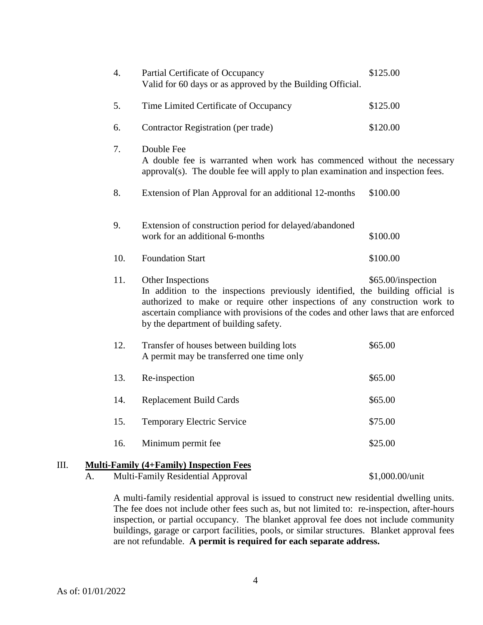|      | $\overline{4}$ . | Partial Certificate of Occupancy<br>Valid for 60 days or as approved by the Building Official.                                                                                                                                                                                                                    | \$125.00           |
|------|------------------|-------------------------------------------------------------------------------------------------------------------------------------------------------------------------------------------------------------------------------------------------------------------------------------------------------------------|--------------------|
|      | 5.               | Time Limited Certificate of Occupancy                                                                                                                                                                                                                                                                             | \$125.00           |
|      | 6.               | Contractor Registration (per trade)                                                                                                                                                                                                                                                                               | \$120.00           |
|      | 7.               | Double Fee<br>A double fee is warranted when work has commenced without the necessary<br>approval(s). The double fee will apply to plan examination and inspection fees.                                                                                                                                          |                    |
|      | 8.               | Extension of Plan Approval for an additional 12-months                                                                                                                                                                                                                                                            | \$100.00           |
|      | 9.               | Extension of construction period for delayed/abandoned<br>work for an additional 6-months                                                                                                                                                                                                                         | \$100.00           |
|      | 10.              | <b>Foundation Start</b>                                                                                                                                                                                                                                                                                           | \$100.00           |
|      | 11.              | Other Inspections<br>In addition to the inspections previously identified, the building official is<br>authorized to make or require other inspections of any construction work to<br>ascertain compliance with provisions of the codes and other laws that are enforced<br>by the department of building safety. | \$65.00/inspection |
|      | 12.              | Transfer of houses between building lots<br>A permit may be transferred one time only                                                                                                                                                                                                                             | \$65.00            |
|      | 13.              | Re-inspection                                                                                                                                                                                                                                                                                                     | \$65.00            |
|      | 14.              | <b>Replacement Build Cards</b>                                                                                                                                                                                                                                                                                    | \$65.00            |
|      | 15.              | <b>Temporary Electric Service</b>                                                                                                                                                                                                                                                                                 | \$75.00            |
|      | 16.              | Minimum permit fee                                                                                                                                                                                                                                                                                                | \$25.00            |
| III. |                  | <b>Multi-Family (4+Family) Inspection Fees</b>                                                                                                                                                                                                                                                                    |                    |

#### A. Multi-Family Residential Approval \$1,000.00/unit

A multi-family residential approval is issued to construct new residential dwelling units. The fee does not include other fees such as, but not limited to: re-inspection, after-hours inspection, or partial occupancy. The blanket approval fee does not include community buildings, garage or carport facilities, pools, or similar structures. Blanket approval fees are not refundable. **A permit is required for each separate address.**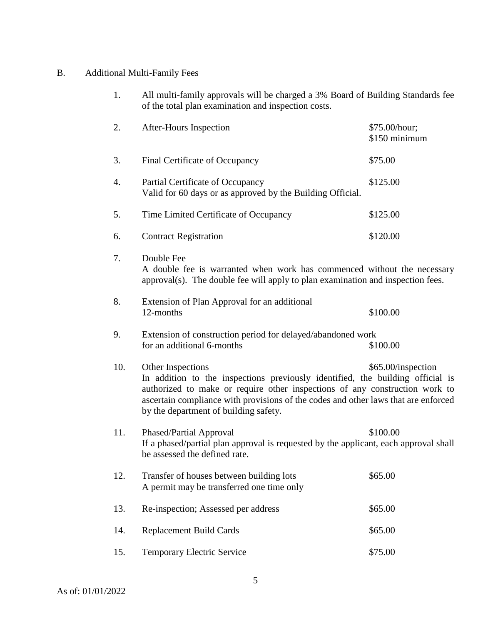# B. Additional Multi-Family Fees

| 1.  | All multi-family approvals will be charged a 3% Board of Building Standards fee<br>of the total plan examination and inspection costs.                                                                                                                                                                            |                                |
|-----|-------------------------------------------------------------------------------------------------------------------------------------------------------------------------------------------------------------------------------------------------------------------------------------------------------------------|--------------------------------|
| 2.  | After-Hours Inspection                                                                                                                                                                                                                                                                                            | \$75.00/hour;<br>\$150 minimum |
| 3.  | Final Certificate of Occupancy                                                                                                                                                                                                                                                                                    | \$75.00                        |
| 4.  | Partial Certificate of Occupancy<br>Valid for 60 days or as approved by the Building Official.                                                                                                                                                                                                                    | \$125.00                       |
| 5.  | Time Limited Certificate of Occupancy                                                                                                                                                                                                                                                                             | \$125.00                       |
| 6.  | <b>Contract Registration</b>                                                                                                                                                                                                                                                                                      | \$120.00                       |
| 7.  | Double Fee<br>A double fee is warranted when work has commenced without the necessary<br>approval(s). The double fee will apply to plan examination and inspection fees.                                                                                                                                          |                                |
| 8.  | Extension of Plan Approval for an additional<br>12-months                                                                                                                                                                                                                                                         | \$100.00                       |
| 9.  | Extension of construction period for delayed/abandoned work                                                                                                                                                                                                                                                       |                                |
|     | for an additional 6-months                                                                                                                                                                                                                                                                                        | \$100.00                       |
| 10. | Other Inspections<br>In addition to the inspections previously identified, the building official is<br>authorized to make or require other inspections of any construction work to<br>ascertain compliance with provisions of the codes and other laws that are enforced<br>by the department of building safety. | \$65.00/inspection             |
| 11. | Phased/Partial Approval<br>If a phased/partial plan approval is requested by the applicant, each approval shall<br>be assessed the defined rate.                                                                                                                                                                  | \$100.00                       |
| 12. | Transfer of houses between building lots<br>A permit may be transferred one time only                                                                                                                                                                                                                             | \$65.00                        |
| 13. | Re-inspection; Assessed per address                                                                                                                                                                                                                                                                               | \$65.00                        |
| 14. | <b>Replacement Build Cards</b>                                                                                                                                                                                                                                                                                    | \$65.00                        |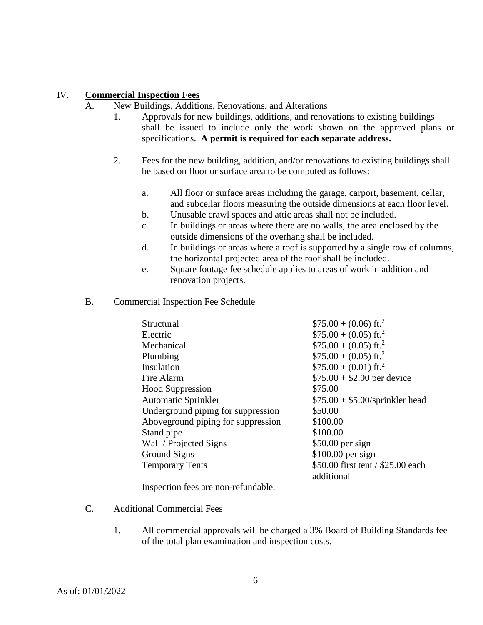#### IV. **Commercial Inspection Fees**

- A. New Buildings, Additions, Renovations, and Alterations
	- 1. Approvals for new buildings, additions, and renovations to existing buildings shall be issued to include only the work shown on the approved plans or specifications. **A permit is required for each separate address.**
	- 2. Fees for the new building, addition, and/or renovations to existing buildings shall be based on floor or surface area to be computed as follows:
		- a. All floor or surface areas including the garage, carport, basement, cellar, and subcellar floors measuring the outside dimensions at each floor level.
		- b. Unusable crawl spaces and attic areas shall not be included.
		- c. In buildings or areas where there are no walls, the area enclosed by the outside dimensions of the overhang shall be included.
		- d. In buildings or areas where a roof is supported by a single row of columns, the horizontal projected area of the roof shall be included.
		- e. Square footage fee schedule applies to areas of work in addition and renovation projects.
- B. Commercial Inspection Fee Schedule

| Structural                         | $$75.00 + (0.06)$ ft. <sup>2</sup> |
|------------------------------------|------------------------------------|
|                                    |                                    |
| Electric                           | $$75.00 + (0.05)$ ft. <sup>2</sup> |
| Mechanical                         | $$75.00 + (0.05)$ ft. <sup>2</sup> |
| Plumbing                           | $$75.00 + (0.05)$ ft. <sup>2</sup> |
| Insulation                         | $$75.00 + (0.01)$ ft. <sup>2</sup> |
| Fire Alarm                         | $$75.00 + $2.00$ per device        |
| <b>Hood Suppression</b>            | \$75.00                            |
| <b>Automatic Sprinkler</b>         | $$75.00 + $5.00$ /sprinkler head   |
| Underground piping for suppression | \$50.00                            |
| Aboveground piping for suppression | \$100.00                           |
| Stand pipe                         | \$100.00                           |
| Wall / Projected Signs             | $$50.00$ per sign                  |
| Ground Signs                       | $$100.00$ per sign                 |
| <b>Temporary Tents</b>             | \$50.00 first tent / \$25.00 each  |
|                                    | additional                         |

Inspection fees are non-refundable.

- C. Additional Commercial Fees
	- 1. All commercial approvals will be charged a 3% Board of Building Standards fee of the total plan examination and inspection costs.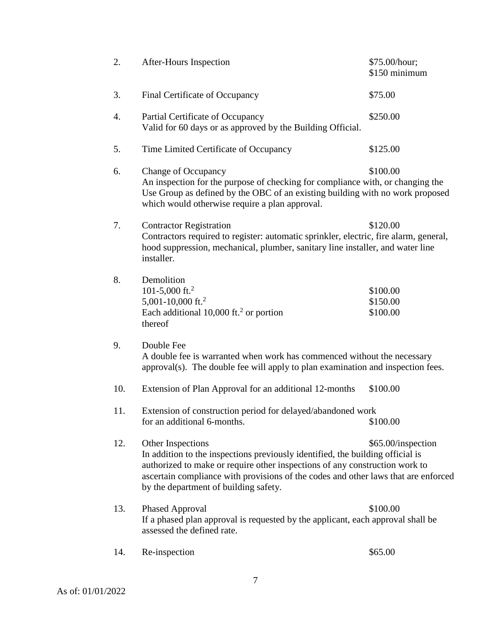| 2.  | After-Hours Inspection                                                                                                                                                                                                                                                                                            | \$75.00/hour;<br>\$150 minimum   |
|-----|-------------------------------------------------------------------------------------------------------------------------------------------------------------------------------------------------------------------------------------------------------------------------------------------------------------------|----------------------------------|
| 3.  | Final Certificate of Occupancy                                                                                                                                                                                                                                                                                    | \$75.00                          |
| 4.  | Partial Certificate of Occupancy<br>Valid for 60 days or as approved by the Building Official.                                                                                                                                                                                                                    | \$250.00                         |
| 5.  | Time Limited Certificate of Occupancy                                                                                                                                                                                                                                                                             | \$125.00                         |
| 6.  | <b>Change of Occupancy</b><br>An inspection for the purpose of checking for compliance with, or changing the<br>Use Group as defined by the OBC of an existing building with no work proposed<br>which would otherwise require a plan approval.                                                                   | \$100.00                         |
| 7.  | <b>Contractor Registration</b><br>Contractors required to register: automatic sprinkler, electric, fire alarm, general,<br>hood suppression, mechanical, plumber, sanitary line installer, and water line<br>installer.                                                                                           | \$120.00                         |
| 8.  | Demolition<br>101-5,000 ft. <sup>2</sup><br>5,001-10,000 ft. <sup>2</sup><br>Each additional $10,000$ ft. <sup>2</sup> or portion<br>thereof                                                                                                                                                                      | \$100.00<br>\$150.00<br>\$100.00 |
| 9.  | Double Fee<br>A double fee is warranted when work has commenced without the necessary<br>approval(s). The double fee will apply to plan examination and inspection fees.                                                                                                                                          |                                  |
| 10. | Extension of Plan Approval for an additional 12-months                                                                                                                                                                                                                                                            | \$100.00                         |
| 11. | Extension of construction period for delayed/abandoned work<br>for an additional 6-months.                                                                                                                                                                                                                        | \$100.00                         |
| 12. | Other Inspections<br>In addition to the inspections previously identified, the building official is<br>authorized to make or require other inspections of any construction work to<br>ascertain compliance with provisions of the codes and other laws that are enforced<br>by the department of building safety. | \$65.00/inspection               |
| 13. | <b>Phased Approval</b><br>If a phased plan approval is requested by the applicant, each approval shall be<br>assessed the defined rate.                                                                                                                                                                           | \$100.00                         |
| 14. | Re-inspection                                                                                                                                                                                                                                                                                                     | \$65.00                          |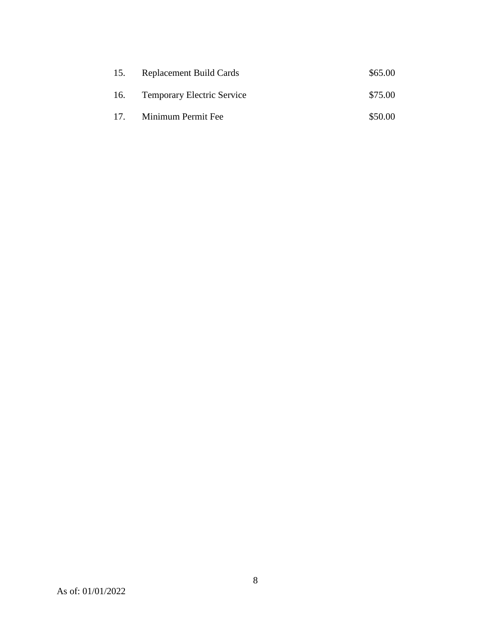| 15.             | <b>Replacement Build Cards</b>    | \$65.00 |
|-----------------|-----------------------------------|---------|
| 16.             | <b>Temporary Electric Service</b> | \$75.00 |
| 17 <sub>1</sub> | Minimum Permit Fee                | \$50.00 |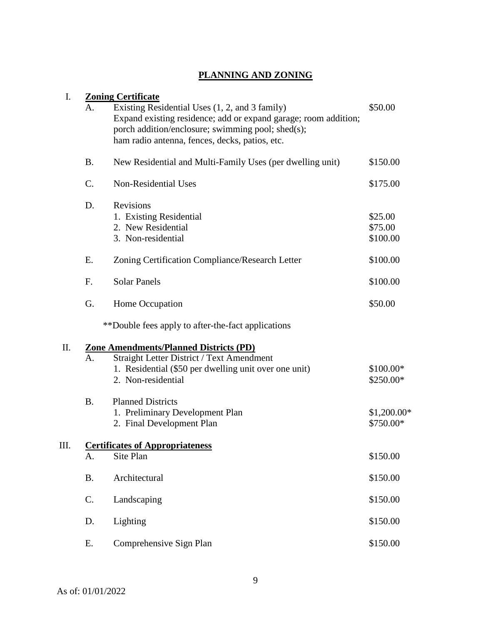## **PLANNING AND ZONING**

| I.  |           | <b>Zoning Certificate</b>                                                                                                                                                                                                |                                |
|-----|-----------|--------------------------------------------------------------------------------------------------------------------------------------------------------------------------------------------------------------------------|--------------------------------|
|     | А.        | Existing Residential Uses (1, 2, and 3 family)<br>Expand existing residence; add or expand garage; room addition;<br>porch addition/enclosure; swimming pool; shed(s);<br>ham radio antenna, fences, decks, patios, etc. | \$50.00                        |
|     | B.        | New Residential and Multi-Family Uses (per dwelling unit)                                                                                                                                                                | \$150.00                       |
|     | C.        | <b>Non-Residential Uses</b>                                                                                                                                                                                              | \$175.00                       |
|     | D.        | Revisions<br>1. Existing Residential<br>2. New Residential<br>3. Non-residential                                                                                                                                         | \$25.00<br>\$75.00<br>\$100.00 |
|     | Ε.        | Zoning Certification Compliance/Research Letter                                                                                                                                                                          | \$100.00                       |
|     | F.        | <b>Solar Panels</b>                                                                                                                                                                                                      | \$100.00                       |
|     | G.        | Home Occupation                                                                                                                                                                                                          | \$50.00                        |
|     |           | **Double fees apply to after-the-fact applications                                                                                                                                                                       |                                |
| II. |           | Zone Amendments/Planned Districts (PD)                                                                                                                                                                                   |                                |
|     | A.        | Straight Letter District / Text Amendment<br>1. Residential (\$50 per dwelling unit over one unit)<br>2. Non-residential                                                                                                 | \$100.00*<br>\$250.00*         |
|     | <b>B.</b> | <b>Planned Districts</b><br>1. Preliminary Development Plan<br>2. Final Development Plan                                                                                                                                 | \$1,200.00*<br>\$750.00*       |
| Ш.  |           | <b>Certificates of Appropriateness</b>                                                                                                                                                                                   |                                |
|     | A.        | Site Plan                                                                                                                                                                                                                | \$150.00                       |
|     | <b>B.</b> | Architectural                                                                                                                                                                                                            | \$150.00                       |
|     | C.        | Landscaping                                                                                                                                                                                                              | \$150.00                       |
|     | D.        | Lighting                                                                                                                                                                                                                 | \$150.00                       |
|     | Ε.        | Comprehensive Sign Plan                                                                                                                                                                                                  | \$150.00                       |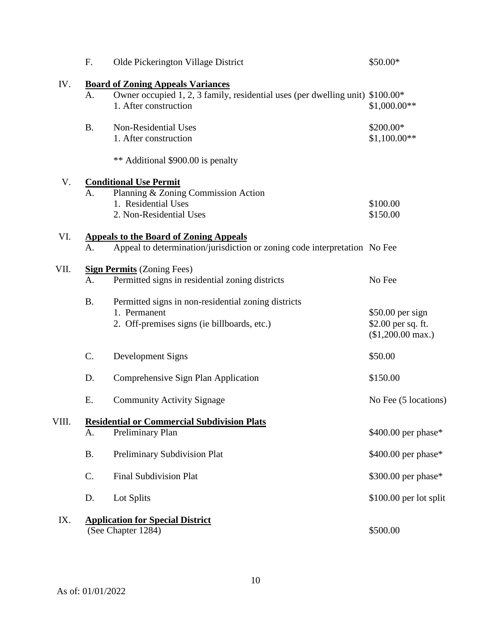|       | F.             | Olde Pickerington Village District                                                                                                                 | \$50.00*                                                             |
|-------|----------------|----------------------------------------------------------------------------------------------------------------------------------------------------|----------------------------------------------------------------------|
| IV.   | A.             | <b>Board of Zoning Appeals Variances</b><br>Owner occupied 1, 2, 3 family, residential uses (per dwelling unit) \$100.00*<br>1. After construction | $$1,000.00**$                                                        |
|       | <b>B.</b>      | Non-Residential Uses<br>1. After construction                                                                                                      | \$200.00*<br>$$1,100.00**$                                           |
|       |                | ** Additional \$900.00 is penalty                                                                                                                  |                                                                      |
| V.    | A <sub>1</sub> | <b>Conditional Use Permit</b><br>Planning & Zoning Commission Action<br>1. Residential Uses<br>2. Non-Residential Uses                             | \$100.00<br>\$150.00                                                 |
| VI.   | A.             | <b>Appeals to the Board of Zoning Appeals</b><br>Appeal to determination/jurisdiction or zoning code interpretation No Fee                         |                                                                      |
| VII.  | A.             | <b>Sign Permits</b> (Zoning Fees)<br>Permitted signs in residential zoning districts                                                               | No Fee                                                               |
|       | <b>B.</b>      | Permitted signs in non-residential zoning districts<br>1. Permanent<br>2. Off-premises signs (ie billboards, etc.)                                 | \$50.00 per sign<br>\$2.00 per sq. ft.<br>$($1,200.00 \text{ max.})$ |
|       | C.             | Development Signs                                                                                                                                  | \$50.00                                                              |
|       | D.             | Comprehensive Sign Plan Application                                                                                                                | \$150.00                                                             |
|       | Ε.             | <b>Community Activity Signage</b>                                                                                                                  | No Fee (5 locations)                                                 |
| VIII. | A.             | <b>Residential or Commercial Subdivision Plats</b><br>Preliminary Plan                                                                             | \$400.00 per phase*                                                  |
|       | <b>B.</b>      | Preliminary Subdivision Plat                                                                                                                       | $$400.00$ per phase*                                                 |
|       | C.             | <b>Final Subdivision Plat</b>                                                                                                                      | \$300.00 per phase*                                                  |
|       | D.             | Lot Splits                                                                                                                                         | \$100.00 per lot split                                               |
| IX.   |                | <b>Application for Special District</b><br>(See Chapter 1284)                                                                                      | \$500.00                                                             |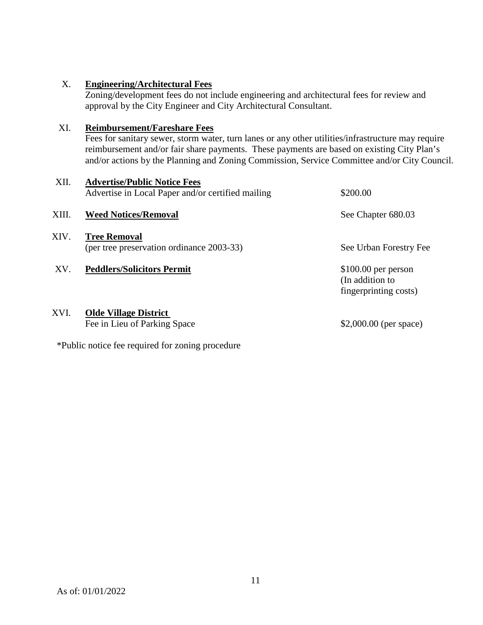#### X. **Engineering/Architectural Fees**

Zoning/development fees do not include engineering and architectural fees for review and approval by the City Engineer and City Architectural Consultant.

#### XI. **Reimbursement/Fareshare Fees**

Fees for sanitary sewer, storm water, turn lanes or any other utilities/infrastructure may require reimbursement and/or fair share payments. These payments are based on existing City Plan's and/or actions by the Planning and Zoning Commission, Service Committee and/or City Council.

| XII.  | <b>Advertise/Public Notice Fees</b><br>Advertise in Local Paper and/or certified mailing | \$200.00               |
|-------|------------------------------------------------------------------------------------------|------------------------|
| XIII. | <b>Weed Notices/Removal</b>                                                              | See Chapter 680.03     |
| XIV.  | <b>Tree Removal</b><br>(per tree preservation ordinance 2003-33)                         | See Urban Forestry Fee |
| XV.   | <b>Peddlers/Solicitors Permit</b>                                                        | $$100.00$ per person   |

#### XVI. **Olde Village District**

Fee in Lieu of Parking Space \$2,000.00 (per space)

(In addition to fingerprinting costs)

\*Public notice fee required for zoning procedure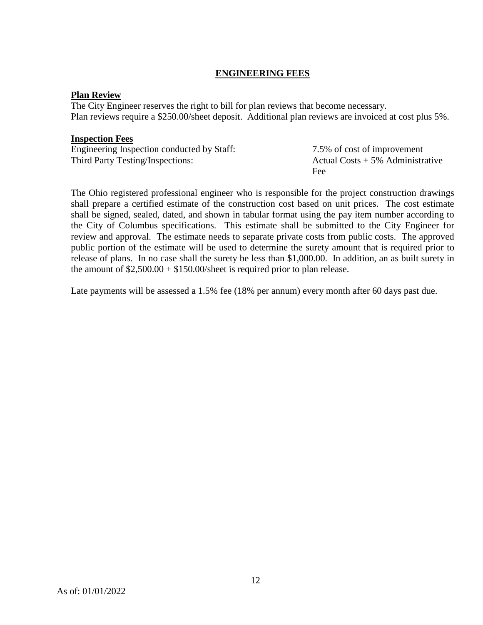### **ENGINEERING FEES**

#### **Plan Review**

The City Engineer reserves the right to bill for plan reviews that become necessary. Plan reviews require a \$250.00/sheet deposit. Additional plan reviews are invoiced at cost plus 5%.

#### **Inspection Fees**

Engineering Inspection conducted by Staff: 7.5% of cost of improvement Third Party Testing/Inspections: Actual Costs + 5% Administrative

Fee

The Ohio registered professional engineer who is responsible for the project construction drawings shall prepare a certified estimate of the construction cost based on unit prices. The cost estimate shall be signed, sealed, dated, and shown in tabular format using the pay item number according to the City of Columbus specifications. This estimate shall be submitted to the City Engineer for review and approval. The estimate needs to separate private costs from public costs. The approved public portion of the estimate will be used to determine the surety amount that is required prior to release of plans. In no case shall the surety be less than \$1,000.00. In addition, an as built surety in the amount of  $$2,500.00 + $150.00$ /sheet is required prior to plan release.

Late payments will be assessed a 1.5% fee (18% per annum) every month after 60 days past due.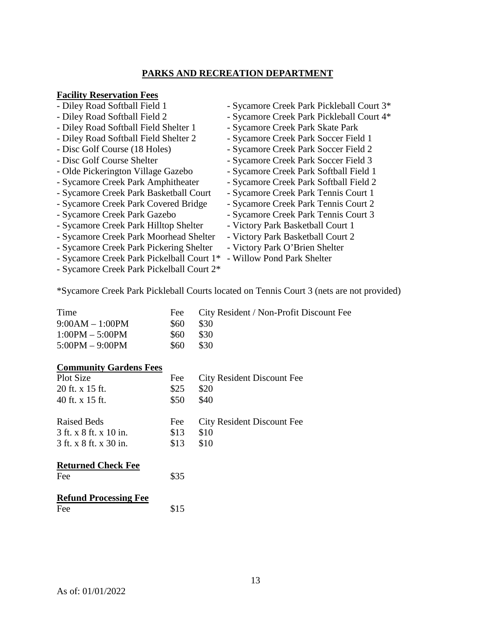#### **PARKS AND RECREATION DEPARTMENT**

#### **Facility Reservation Fees**

- Diley Road Softball Field 1 Sycamore Creek Park Pickleball Court 3\* - Diley Road Softball Field 2 - Sycamore Creek Park Pickleball Court 4\* - Diley Road Softball Field Shelter 1 - Sycamore Creek Park Skate Park - Diley Road Softball Field Shelter 2 - Sycamore Creek Park Soccer Field 1 - Disc Golf Course (18 Holes) - Sycamore Creek Park Soccer Field 2 - Disc Golf Course Shelter - Sycamore Creek Park Soccer Field 3 - Olde Pickerington Village Gazebo - Sycamore Creek Park Softball Field 1 - Sycamore Creek Park Amphitheater - Sycamore Creek Park Softball Field 2 - Sycamore Creek Park Basketball Court - Sycamore Creek Park Tennis Court 1 - Sycamore Creek Park Covered Bridge - Sycamore Creek Park Tennis Court 2 - Sycamore Creek Park Gazebo - Sycamore Creek Park Tennis Court 3 - Sycamore Creek Park Hilltop Shelter - Victory Park Basketball Court 1 - Sycamore Creek Park Moorhead Shelter - Victory Park Basketball Court 2 - Sycamore Creek Park Pickering Shelter - Victory Park O'Brien Shelter - Sycamore Creek Park Pickelball Court 1\* - Willow Pond Park Shelter
- Sycamore Creek Park Pickelball Court 2\*

\*Sycamore Creek Park Pickleball Courts located on Tennis Court 3 (nets are not provided)

| Time              |       | Fee City Resident / Non-Profit Discount Fee |
|-------------------|-------|---------------------------------------------|
| $9:00AM - 1:00PM$ | \$60. | -S30                                        |
| $1:00PM - 5:00PM$ | \$60. | -S30                                        |
| $5:00PM - 9:00PM$ | \$60. | \$30                                        |

#### **Community Gardens Fees**

| Plot Size              | Fee  | City Resident Discount Fee |
|------------------------|------|----------------------------|
| 20 ft. x 15 ft.        | \$25 | \$20                       |
| 40 ft. x 15 ft.        | \$50 | \$40                       |
| <b>Raised Beds</b>     | Fee  | City Resident Discount Fee |
| 3 ft. x 8 ft. x 10 in. | \$13 | \$10                       |
| 3 ft. x 8 ft. x 30 in. | \$13 | \$10                       |
|                        |      |                            |

#### **Returned Check Fee**

| Fee | \$35 |
|-----|------|
|     |      |

| <b>Refund Processing Fee</b> |      |
|------------------------------|------|
| Fee                          | \$15 |

- 
-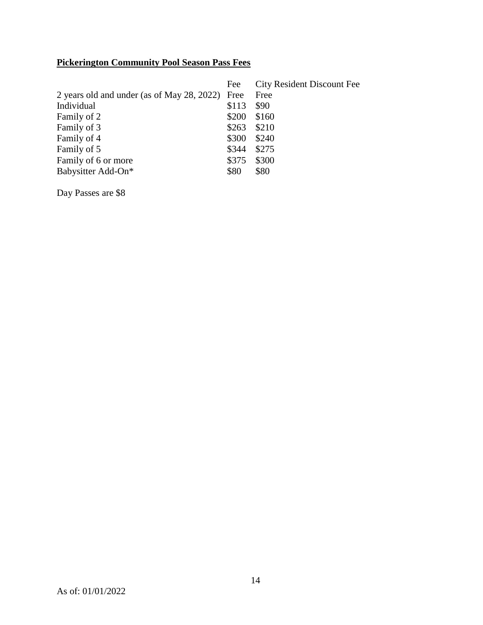# **Pickerington Community Pool Season Pass Fees**

|                                                 | Fee   | <b>City Resident Discount Fee</b> |
|-------------------------------------------------|-------|-----------------------------------|
| 2 years old and under (as of May 28, 2022) Free |       | Free                              |
| Individual                                      | \$113 | \$90                              |
| Family of 2                                     | \$200 | \$160                             |
| Family of 3                                     | \$263 | \$210                             |
| Family of 4                                     | \$300 | \$240                             |
| Family of 5                                     | \$344 | \$275                             |
| Family of 6 or more                             | \$375 | \$300                             |
| Babysitter Add-On*                              | \$80  | \$80                              |

Day Passes are \$8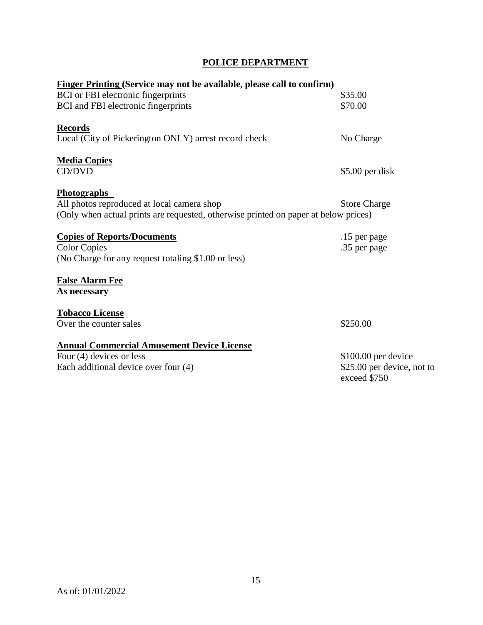| <b>POLICE DEPARTMENT</b> |
|--------------------------|
|                          |

| <b>Finger Printing (Service may not be available, please call to confirm)</b>       |                                            |
|-------------------------------------------------------------------------------------|--------------------------------------------|
| BCI or FBI electronic fingerprints                                                  | \$35.00                                    |
| BCI and FBI electronic fingerprints                                                 | \$70.00                                    |
| <b>Records</b>                                                                      |                                            |
| Local (City of Pickerington ONLY) arrest record check                               | No Charge                                  |
| <b>Media Copies</b>                                                                 |                                            |
| CD/DVD                                                                              | $$5.00$ per disk                           |
| <b>Photographs</b>                                                                  |                                            |
| All photos reproduced at local camera shop                                          | <b>Store Charge</b>                        |
| (Only when actual prints are requested, otherwise printed on paper at below prices) |                                            |
| <b>Copies of Reports/Documents</b>                                                  | .15 per page                               |
| <b>Color Copies</b>                                                                 | .35 per page                               |
| (No Charge for any request totaling \$1.00 or less)                                 |                                            |
| <b>False Alarm Fee</b>                                                              |                                            |
| As necessary                                                                        |                                            |
| <b>Tobacco License</b>                                                              |                                            |
| Over the counter sales                                                              | \$250.00                                   |
| <b>Annual Commercial Amusement Device License</b>                                   |                                            |
| Four (4) devices or less                                                            | $$100.00$ per device                       |
| Each additional device over four (4)                                                | \$25.00 per device, not to<br>exceed \$750 |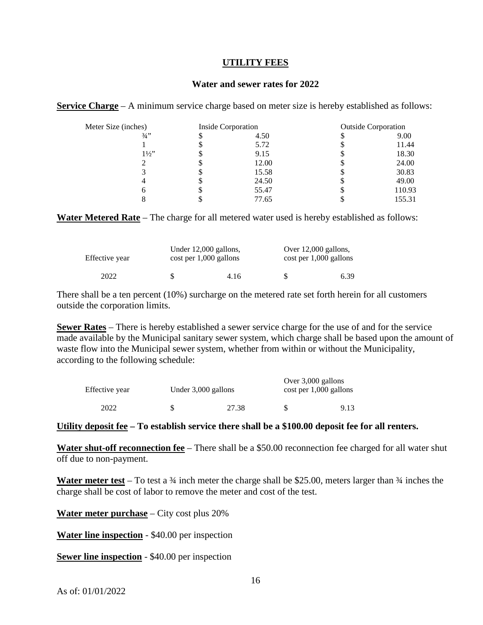#### **UTILITY FEES**

#### **Water and sewer rates for 2022**

**Service Charge** – A minimum service charge based on meter size is hereby established as follows:

| Meter Size (inches) |    | Inside Corporation |   | <b>Outside Corporation</b> |  |
|---------------------|----|--------------------|---|----------------------------|--|
| $3/4$ ''            | \$ | 4.50               |   | 9.00                       |  |
|                     | 2  | 5.72               |   | 11.44                      |  |
| $1\frac{1}{2}$      | \$ | 9.15               |   | 18.30                      |  |
|                     | \$ | 12.00              |   | 24.00                      |  |
|                     | \$ | 15.58              | Φ | 30.83                      |  |
|                     | \$ | 24.50              | J | 49.00                      |  |
|                     | J  | 55.47              | J | 110.93                     |  |
|                     |    | 77.65              |   | 155.31                     |  |

**Water Metered Rate** – The charge for all metered water used is hereby established as follows:

| Effective year |    | Under 12,000 gallons,<br>$\cos t$ per 1,000 gallons | Over 12,000 gallons,<br>$\cot$ per 1,000 gallons |      |
|----------------|----|-----------------------------------------------------|--------------------------------------------------|------|
| 2022           | S. | 4.16                                                | Ж                                                | 6.39 |

There shall be a ten percent (10%) surcharge on the metered rate set forth herein for all customers outside the corporation limits.

**Sewer Rates** – There is hereby established a sewer service charge for the use of and for the service made available by the Municipal sanitary sewer system, which charge shall be based upon the amount of waste flow into the Municipal sewer system, whether from within or without the Municipality, according to the following schedule:

| Effective year | Under 3,000 gallons |  | Over 3,000 gallons<br>$\cos t$ per 1,000 gallons |  |
|----------------|---------------------|--|--------------------------------------------------|--|
| 2022           | 27.38               |  | 9.13                                             |  |

#### **Utility deposit fee – To establish service there shall be a \$100.00 deposit fee for all renters.**

**Water shut-off reconnection fee** – There shall be a \$50.00 reconnection fee charged for all water shut off due to non-payment.

Water meter test – To test a <sup>3</sup>/4 inch meter the charge shall be \$25.00, meters larger than <sup>3</sup>/4 inches the charge shall be cost of labor to remove the meter and cost of the test.

**Water meter purchase** – City cost plus 20%

**Water line inspection** - \$40.00 per inspection

**Sewer line inspection** - \$40.00 per inspection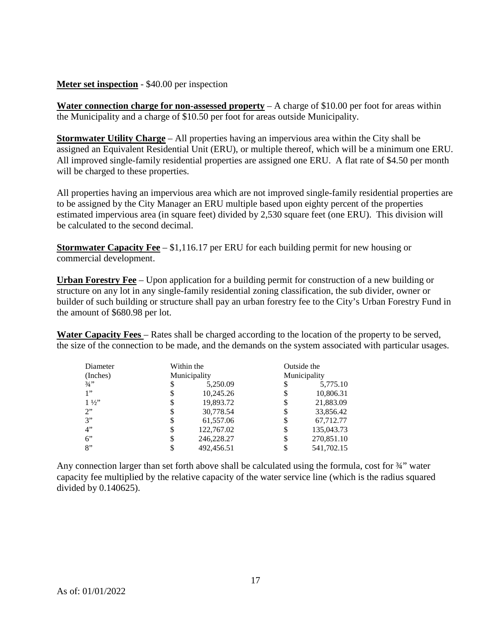#### **Meter set inspection** - \$40.00 per inspection

**Water connection charge for non-assessed property** – A charge of \$10.00 per foot for areas within the Municipality and a charge of \$10.50 per foot for areas outside Municipality.

**Stormwater Utility Charge** – All properties having an impervious area within the City shall be assigned an Equivalent Residential Unit (ERU), or multiple thereof, which will be a minimum one ERU. All improved single-family residential properties are assigned one ERU. A flat rate of \$4.50 per month will be charged to these properties.

All properties having an impervious area which are not improved single-family residential properties are to be assigned by the City Manager an ERU multiple based upon eighty percent of the properties estimated impervious area (in square feet) divided by 2,530 square feet (one ERU). This division will be calculated to the second decimal.

**Stormwater Capacity Fee** – \$1,116.17 per ERU for each building permit for new housing or commercial development.

**Urban Forestry Fee** – Upon application for a building permit for construction of a new building or structure on any lot in any single-family residential zoning classification, the sub divider, owner or builder of such building or structure shall pay an urban forestry fee to the City's Urban Forestry Fund in the amount of \$680.98 per lot.

**Water Capacity Fees** – Rates shall be charged according to the location of the property to be served, the size of the connection to be made, and the demands on the system associated with particular usages.

| Diameter       |    | Within the   |    | Outside the  |
|----------------|----|--------------|----|--------------|
| (Inches)       |    | Municipality |    | Municipality |
| 3/4"           | \$ | 5,250.09     | S  | 5,775.10     |
| 1"             | \$ | 10,245.26    | \$ | 10,806.31    |
| $1\frac{1}{2}$ | \$ | 19,893.72    | \$ | 21,883.09    |
| 2"             | \$ | 30,778.54    | \$ | 33,856.42    |
| 3"             | \$ | 61,557.06    | \$ | 67,712.77    |
| 4"             | \$ | 122,767.02   | \$ | 135,043.73   |
| 6"             | S  | 246,228.27   | S  | 270,851.10   |
| 8"             |    | 492,456.51   |    | 541,702.15   |

Any connection larger than set forth above shall be calculated using the formula, cost for  $\frac{3}{4}$ " water capacity fee multiplied by the relative capacity of the water service line (which is the radius squared divided by 0.140625).